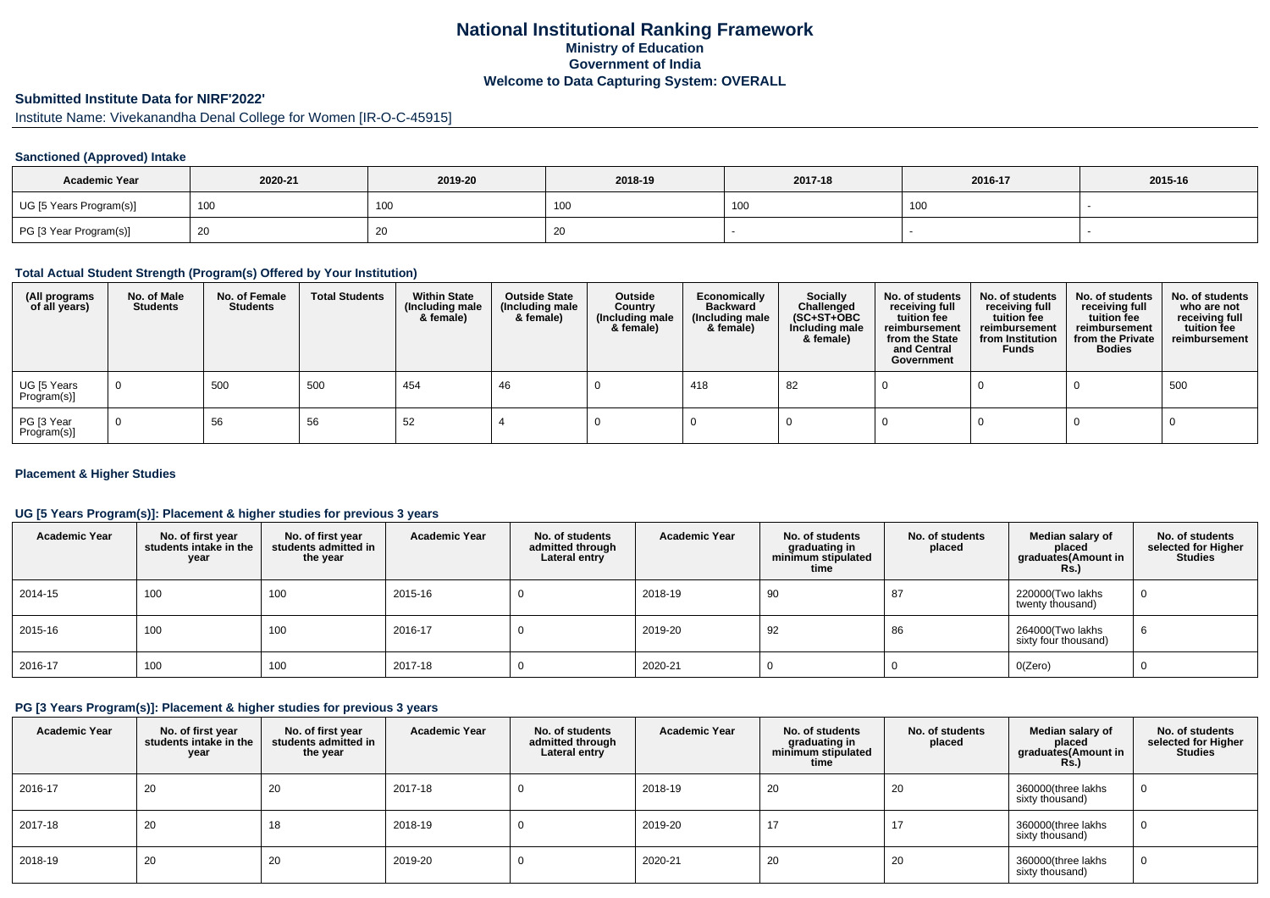# **National Institutional Ranking FrameworkMinistry of Education Government of IndiaWelcome to Data Capturing System: OVERALL**

# **Submitted Institute Data for NIRF'2022'**

Institute Name: Vivekanandha Denal College for Women [IR-O-C-45915]

### **Sanctioned (Approved) Intake**

| <b>Academic Year</b>    | 2020-21 | 2019-20 | 2018-19         | 2017-18    | 2016-17 | 2015-16 |
|-------------------------|---------|---------|-----------------|------------|---------|---------|
| UG [5 Years Program(s)] | 100     | 100     | 10 <sub>0</sub> | 100<br>טטו | 100     |         |
| PG [3 Year Program(s)]  |         | 20      | ∠∪              |            |         |         |

#### **Total Actual Student Strength (Program(s) Offered by Your Institution)**

| (All programs<br>of all years) | No. of Male<br><b>Students</b> | No. of Female<br><b>Students</b> | <b>Total Students</b> | <b>Within State</b><br>(Including male<br>& female) | <b>Outside State</b><br>(Including male<br>& female) | Outside<br>Country<br>(Including male<br>& female) | Economically<br><b>Backward</b><br>(Including male<br>& female) | <b>Socially</b><br>Challenged<br>$(SC+ST+OBC)$<br>Including male<br>& female) | No. of students<br>receiving full<br>tuition fee<br>reimbursement<br>from the State<br>and Central<br>Government | No. of students<br>receiving full<br>tuition fee<br>reimbursement<br>from Institution<br><b>Funds</b> | No. of students<br>receiving full<br>tuition fee<br>reimbursement<br>from the Private<br><b>Bodies</b> | No. of students<br>who are not<br>receiving full<br>tuition fee<br>reimbursement |
|--------------------------------|--------------------------------|----------------------------------|-----------------------|-----------------------------------------------------|------------------------------------------------------|----------------------------------------------------|-----------------------------------------------------------------|-------------------------------------------------------------------------------|------------------------------------------------------------------------------------------------------------------|-------------------------------------------------------------------------------------------------------|--------------------------------------------------------------------------------------------------------|----------------------------------------------------------------------------------|
| UG [5 Years<br>Program(s)]     | $\overline{0}$                 | 500                              | 500                   | 454                                                 | 46                                                   |                                                    | 418                                                             | 82                                                                            |                                                                                                                  |                                                                                                       |                                                                                                        | 500                                                                              |
| PG [3 Year<br>Program(s)]      | $\Omega$                       | 56                               | 56                    | 52                                                  |                                                      |                                                    |                                                                 |                                                                               |                                                                                                                  |                                                                                                       |                                                                                                        |                                                                                  |

#### **Placement & Higher Studies**

#### **UG [5 Years Program(s)]: Placement & higher studies for previous 3 years**

| <b>Academic Year</b> | No. of first year<br>students intake in the<br>year | No. of first year<br>students admitted in<br>the year | <b>Academic Year</b> | No. of students<br>admitted through<br>Lateral entry | <b>Academic Year</b> | No. of students<br>graduating in<br>minimum stipulated<br>time | No. of students<br>placed | Median salary of<br>placed<br>graduates(Amount in<br><b>Rs.)</b> | No. of students<br>selected for Higher<br><b>Studies</b> |
|----------------------|-----------------------------------------------------|-------------------------------------------------------|----------------------|------------------------------------------------------|----------------------|----------------------------------------------------------------|---------------------------|------------------------------------------------------------------|----------------------------------------------------------|
| 2014-15              | 100                                                 | 100                                                   | 2015-16              |                                                      | 2018-19              | 90                                                             | 87                        | 220000(Two lakhs<br>twenty thousand)                             | 0                                                        |
| 2015-16              | 100                                                 | 100                                                   | 2016-17              |                                                      | 2019-20              | 92                                                             | 86                        | 264000(Two lakhs<br>sixty four thousand)                         | 6                                                        |
| 2016-17              | 100                                                 | 100                                                   | 2017-18              |                                                      | 2020-21              |                                                                |                           | O(Zero)                                                          | 0                                                        |

## **PG [3 Years Program(s)]: Placement & higher studies for previous 3 years**

| <b>Academic Year</b> | No. of first year<br>students intake in the<br>year | No. of first year<br>students admitted in<br>the year | <b>Academic Year</b> | No. of students<br>admitted through<br>Lateral entry | <b>Academic Year</b> | No. of students<br>graduating in<br>minimum stipulated<br>time | No. of students<br>placed | Median salary of<br>placed<br>graduates (Amount in<br>Rs.) | No. of students<br>selected for Higher<br><b>Studies</b> |
|----------------------|-----------------------------------------------------|-------------------------------------------------------|----------------------|------------------------------------------------------|----------------------|----------------------------------------------------------------|---------------------------|------------------------------------------------------------|----------------------------------------------------------|
| 2016-17              | 20                                                  | 20                                                    | 2017-18              |                                                      | 2018-19              | 20                                                             | 20                        | 360000(three lakhs<br>sixty thousand)                      |                                                          |
| 2017-18              | 20                                                  | 18                                                    | 2018-19              |                                                      | 2019-20              | $\overline{1}$                                                 | 17                        | 360000(three lakhs<br>sixty thousand)                      |                                                          |
| 2018-19              | 20                                                  | 20                                                    | 2019-20              |                                                      | 2020-21              | 20                                                             | 20                        | 360000(three lakhs<br>sixty thousand)                      |                                                          |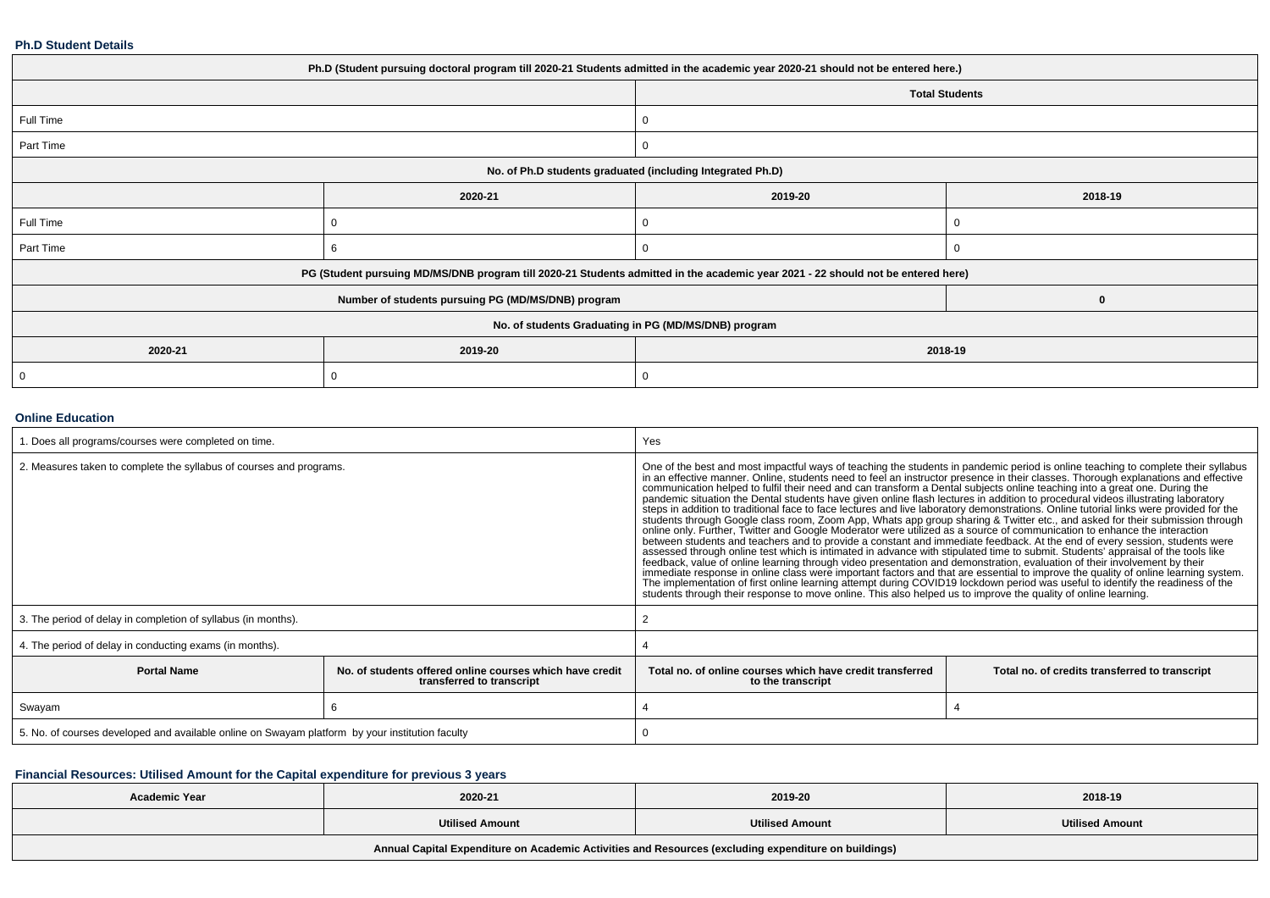#### **Ph.D Student Details**

| Ph.D (Student pursuing doctoral program till 2020-21 Students admitted in the academic year 2020-21 should not be entered here.) |                                                                                                                                  |                                                            |                       |  |  |
|----------------------------------------------------------------------------------------------------------------------------------|----------------------------------------------------------------------------------------------------------------------------------|------------------------------------------------------------|-----------------------|--|--|
|                                                                                                                                  |                                                                                                                                  |                                                            | <b>Total Students</b> |  |  |
| Full Time                                                                                                                        |                                                                                                                                  |                                                            |                       |  |  |
| Part Time                                                                                                                        |                                                                                                                                  |                                                            |                       |  |  |
|                                                                                                                                  |                                                                                                                                  | No. of Ph.D students graduated (including Integrated Ph.D) |                       |  |  |
|                                                                                                                                  | 2020-21                                                                                                                          | 2019-20                                                    | 2018-19               |  |  |
| Full Time                                                                                                                        | 0                                                                                                                                |                                                            |                       |  |  |
| Part Time                                                                                                                        |                                                                                                                                  |                                                            |                       |  |  |
|                                                                                                                                  | PG (Student pursuing MD/MS/DNB program till 2020-21 Students admitted in the academic year 2021 - 22 should not be entered here) |                                                            |                       |  |  |
|                                                                                                                                  | Number of students pursuing PG (MD/MS/DNB) program                                                                               |                                                            | $\bf{0}$              |  |  |
| No. of students Graduating in PG (MD/MS/DNB) program                                                                             |                                                                                                                                  |                                                            |                       |  |  |
| 2020-21                                                                                                                          | 2019-20<br>2018-19                                                                                                               |                                                            |                       |  |  |
| 0                                                                                                                                | 0                                                                                                                                |                                                            |                       |  |  |

#### **Online Education**

| . Does all programs/courses were completed on time.                                             |                                                                                       | Yes                                                                                                                                                                                                                                                                                                                                                                                                                                                                                                                                                                                                                                                                                                                                                                                                                                                                                                                                                                                                                                                                                                                                                                                                                                                                                                                                                                                                                                                                                                                                                                                                                                                   |                                                |  |  |
|-------------------------------------------------------------------------------------------------|---------------------------------------------------------------------------------------|-------------------------------------------------------------------------------------------------------------------------------------------------------------------------------------------------------------------------------------------------------------------------------------------------------------------------------------------------------------------------------------------------------------------------------------------------------------------------------------------------------------------------------------------------------------------------------------------------------------------------------------------------------------------------------------------------------------------------------------------------------------------------------------------------------------------------------------------------------------------------------------------------------------------------------------------------------------------------------------------------------------------------------------------------------------------------------------------------------------------------------------------------------------------------------------------------------------------------------------------------------------------------------------------------------------------------------------------------------------------------------------------------------------------------------------------------------------------------------------------------------------------------------------------------------------------------------------------------------------------------------------------------------|------------------------------------------------|--|--|
| 2. Measures taken to complete the syllabus of courses and programs.                             |                                                                                       | One of the best and most impactful ways of teaching the students in pandemic period is online teaching to complete their syllabus<br>in an effective manner. Online, students need to feel an instructor presence in their classe<br>communication helped to fulfil their need and can transform a Dental subjects online teaching into a great one. During the<br>pandemic situation the Dental students have given online flash lectures in addition to procedural videos illustrating laboratory<br>steps in addition to traditional face to face lectures and live laboratory demonstrations. Online tutorial links were provided for the<br>students through Google class room, Zoom App, Whats app group sharing & Twitter etc., and asked for their submission through online only. Further, Twitter and Google Moderator were utilized as a source of communication to<br>between students and teachers and to provide a constant and immediate feedback. At the end of every session, students were<br>assessed through online test which is intimated in advance with stipulated time to submit. Students' appraisal of the tools like<br>feedback, value of online learning through video presentation and demonstration, evaluation of their involvement by their<br>immediate response in online class were important factors and that are essential to improve the quality of online learning system.<br>The implementation of first online learning attempt during COVID19 lockdown period was useful to identify the readiness of the students through their response to move online. This also helped us to improve the quality of o |                                                |  |  |
| 3. The period of delay in completion of syllabus (in months).                                   |                                                                                       |                                                                                                                                                                                                                                                                                                                                                                                                                                                                                                                                                                                                                                                                                                                                                                                                                                                                                                                                                                                                                                                                                                                                                                                                                                                                                                                                                                                                                                                                                                                                                                                                                                                       |                                                |  |  |
| 4. The period of delay in conducting exams (in months).                                         |                                                                                       |                                                                                                                                                                                                                                                                                                                                                                                                                                                                                                                                                                                                                                                                                                                                                                                                                                                                                                                                                                                                                                                                                                                                                                                                                                                                                                                                                                                                                                                                                                                                                                                                                                                       |                                                |  |  |
| <b>Portal Name</b>                                                                              | No, of students offered online courses which have credit<br>transferred to transcript | Total no. of online courses which have credit transferred<br>to the transcript                                                                                                                                                                                                                                                                                                                                                                                                                                                                                                                                                                                                                                                                                                                                                                                                                                                                                                                                                                                                                                                                                                                                                                                                                                                                                                                                                                                                                                                                                                                                                                        | Total no. of credits transferred to transcript |  |  |
| Swayam                                                                                          |                                                                                       |                                                                                                                                                                                                                                                                                                                                                                                                                                                                                                                                                                                                                                                                                                                                                                                                                                                                                                                                                                                                                                                                                                                                                                                                                                                                                                                                                                                                                                                                                                                                                                                                                                                       |                                                |  |  |
| 5. No. of courses developed and available online on Swayam platform by your institution faculty |                                                                                       |                                                                                                                                                                                                                                                                                                                                                                                                                                                                                                                                                                                                                                                                                                                                                                                                                                                                                                                                                                                                                                                                                                                                                                                                                                                                                                                                                                                                                                                                                                                                                                                                                                                       |                                                |  |  |

## **Financial Resources: Utilised Amount for the Capital expenditure for previous 3 years**

| <b>Academic Year</b>                                                                                 | 2020-21                | 2019-20                | 2018-19                |  |  |  |  |
|------------------------------------------------------------------------------------------------------|------------------------|------------------------|------------------------|--|--|--|--|
|                                                                                                      | <b>Utilised Amount</b> | <b>Utilised Amount</b> | <b>Utilised Amount</b> |  |  |  |  |
| Annual Capital Expenditure on Academic Activities and Resources (excluding expenditure on buildings) |                        |                        |                        |  |  |  |  |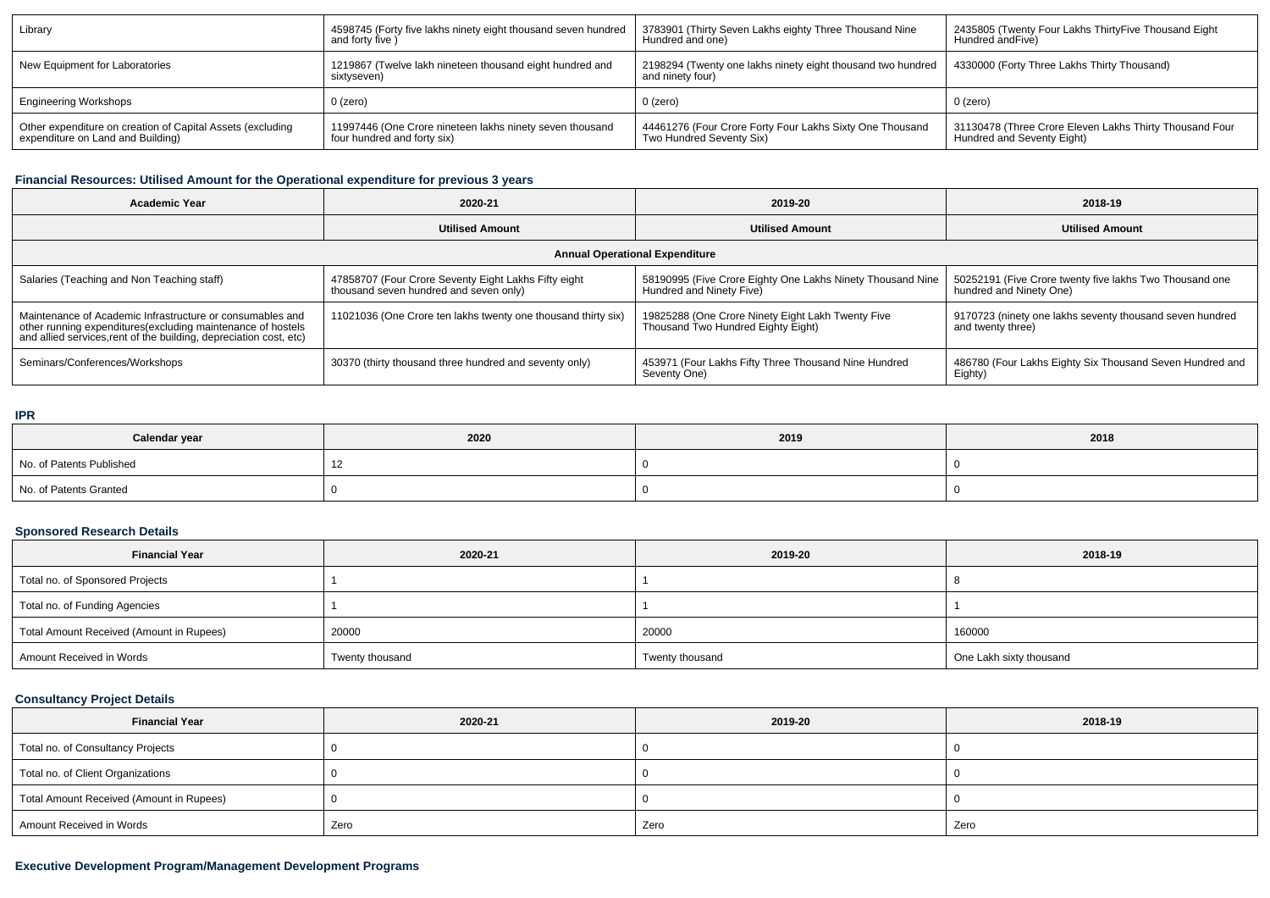| Library                                                    | 4598745 (Forty five lakhs ninety eight thousand seven hundred           | 3783901 (Thirty Seven Lakhs eighty Three Thousand Nine                          | 2435805 (Twenty Four Lakhs ThirtyFive Thousand Eight    |
|------------------------------------------------------------|-------------------------------------------------------------------------|---------------------------------------------------------------------------------|---------------------------------------------------------|
|                                                            | and forty five )                                                        | Hundred and one)                                                                | Hundred and Five)                                       |
| New Equipment for Laboratories                             | 1219867 (Twelve lakh nineteen thousand eight hundred and<br>sixtvseven) | 2198294 (Twenty one lakhs ninety eight thousand two hundred<br>and ninety four) | 4330000 (Forty Three Lakhs Thirty Thousand)             |
| <b>Engineering Workshops</b>                               | 0 (zero)                                                                | 0 (zero)                                                                        | $0$ (zero)                                              |
| Other expenditure on creation of Capital Assets (excluding | 11997446 (One Crore nineteen lakhs ninety seven thousand                | 44461276 (Four Crore Forty Four Lakhs Sixty One Thousand                        | 31130478 (Three Crore Eleven Lakhs Thirty Thousand Four |
| expenditure on Land and Building)                          | four hundred and forty six)                                             | Two Hundred Seventy Six)                                                        | Hundred and Seventy Eight)                              |

## **Financial Resources: Utilised Amount for the Operational expenditure for previous 3 years**

| <b>Academic Year</b>                                                                                                                                                                            | 2020-21                                                                                        | 2019-20                                                                                 | 2018-19                                                                            |  |  |  |  |  |
|-------------------------------------------------------------------------------------------------------------------------------------------------------------------------------------------------|------------------------------------------------------------------------------------------------|-----------------------------------------------------------------------------------------|------------------------------------------------------------------------------------|--|--|--|--|--|
|                                                                                                                                                                                                 | <b>Utilised Amount</b>                                                                         | <b>Utilised Amount</b>                                                                  | <b>Utilised Amount</b>                                                             |  |  |  |  |  |
| <b>Annual Operational Expenditure</b>                                                                                                                                                           |                                                                                                |                                                                                         |                                                                                    |  |  |  |  |  |
| Salaries (Teaching and Non Teaching staff)                                                                                                                                                      | 47858707 (Four Crore Seventy Eight Lakhs Fifty eight<br>thousand seven hundred and seven only) | 58190995 (Five Crore Eighty One Lakhs Ninety Thousand Nine<br>Hundred and Ninety Five)  | 50252191 (Five Crore twenty five lakhs Two Thousand one<br>hundred and Ninety One) |  |  |  |  |  |
| Maintenance of Academic Infrastructure or consumables and<br>other running expenditures (excluding maintenance of hostels<br>and allied services, rent of the building, depreciation cost, etc) | 11021036 (One Crore ten lakhs twenty one thousand thirty six)                                  | 19825288 (One Crore Ninety Eight Lakh Twenty Five<br>Thousand Two Hundred Eighty Eight) | 9170723 (ninety one lakhs seventy thousand seven hundred<br>and twenty three)      |  |  |  |  |  |
| Seminars/Conferences/Workshops                                                                                                                                                                  | 30370 (thirty thousand three hundred and seventy only)                                         | 453971 (Four Lakhs Fifty Three Thousand Nine Hundred<br>Seventy One)                    | 486780 (Four Lakhs Eighty Six Thousand Seven Hundred and<br>Eighty)                |  |  |  |  |  |

#### **IPR**

| Calendar year            | 2020 | 2019 | 2018 |
|--------------------------|------|------|------|
| No. of Patents Published |      |      |      |
| No. of Patents Granted   |      |      |      |

## **Sponsored Research Details**

| <b>Financial Year</b>                    | 2020-21         | 2019-20         | 2018-19                 |
|------------------------------------------|-----------------|-----------------|-------------------------|
| Total no. of Sponsored Projects          |                 |                 |                         |
| Total no. of Funding Agencies            |                 |                 |                         |
| Total Amount Received (Amount in Rupees) | 20000           | 20000           | 160000                  |
| Amount Received in Words                 | Twenty thousand | Twenty thousand | One Lakh sixty thousand |

## **Consultancy Project Details**

| <b>Financial Year</b>                    | 2020-21 | 2019-20 | 2018-19 |
|------------------------------------------|---------|---------|---------|
| Total no. of Consultancy Projects        |         |         |         |
| Total no. of Client Organizations        |         |         |         |
| Total Amount Received (Amount in Rupees) |         |         |         |
| Amount Received in Words                 | Zero    | Zero    | Zero    |

## **Executive Development Program/Management Development Programs**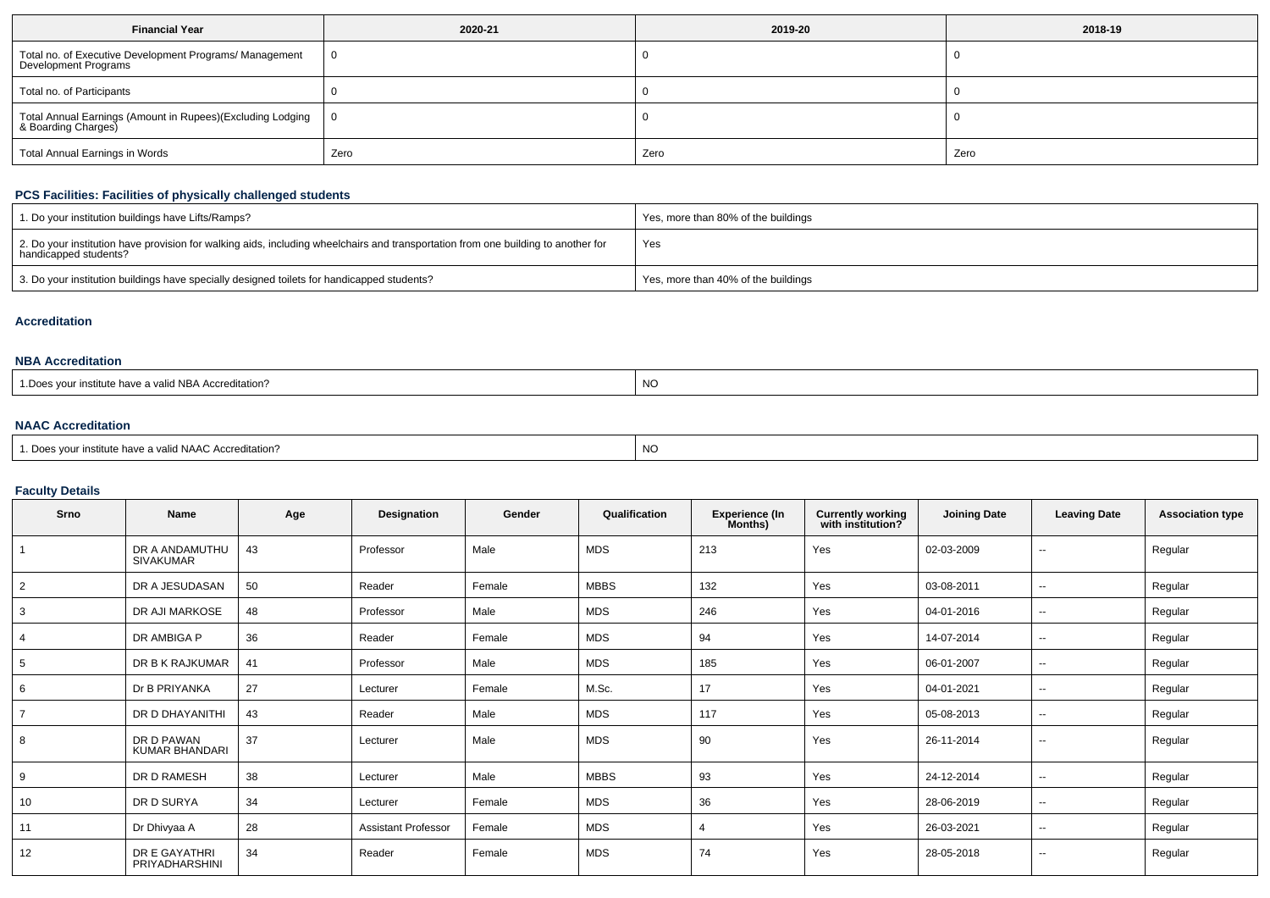| <b>Financial Year</b>                                                             | 2020-21 | 2019-20 | 2018-19 |
|-----------------------------------------------------------------------------------|---------|---------|---------|
| Total no. of Executive Development Programs/ Management<br>Development Programs   |         |         |         |
| Total no. of Participants                                                         |         |         |         |
| Total Annual Earnings (Amount in Rupees)(Excluding Lodging<br>& Boarding Charges) |         |         |         |
| <b>Total Annual Earnings in Words</b>                                             | Zero    | Zero    | Zero    |

## **PCS Facilities: Facilities of physically challenged students**

| 1. Do your institution buildings have Lifts/Ramps?                                                                                                         | Yes, more than 80% of the buildings |
|------------------------------------------------------------------------------------------------------------------------------------------------------------|-------------------------------------|
| 2. Do your institution have provision for walking aids, including wheelchairs and transportation from one building to another for<br>handicapped students? | Yes                                 |
| 3. Do your institution buildings have specially designed toilets for handicapped students?                                                                 | Yes, more than 40% of the buildings |

#### **Accreditation**

## **NBA Accreditation**

| <b>NC</b> |
|-----------|
|-----------|

## **NAAC Accreditation**

| 1. Does your institute have a valid NAAC Accreditation? | <b>NC</b> |
|---------------------------------------------------------|-----------|
|---------------------------------------------------------|-----------|

## **Faculty Details**

| Srno           | Name                               | Age | Designation                | Gender | Qualification | <b>Experience (In</b><br>Months) | <b>Currently working</b><br>with institution? | <b>Joining Date</b> | <b>Leaving Date</b>      | <b>Association type</b> |
|----------------|------------------------------------|-----|----------------------------|--------|---------------|----------------------------------|-----------------------------------------------|---------------------|--------------------------|-------------------------|
|                | DR A ANDAMUTHU<br><b>SIVAKUMAR</b> | 43  | Professor                  | Male   | MDS           | 213                              | Yes                                           | 02-03-2009          | $\overline{\phantom{a}}$ | Regular                 |
| 2              | DR A JESUDASAN                     | 50  | Reader                     | Female | <b>MBBS</b>   | 132                              | Yes                                           | 03-08-2011          | $\sim$                   | Regular                 |
| 3              | DR AJI MARKOSE                     | 48  | Professor                  | Male   | MDS           | 246                              | Yes                                           | 04-01-2016          | $\overline{\phantom{a}}$ | Regular                 |
| 4              | DR AMBIGA P                        | 36  | Reader                     | Female | MDS           | 94                               | Yes                                           | 14-07-2014          | $\sim$                   | Regular                 |
| 5              | DR B K RAJKUMAR                    | 41  | Professor                  | Male   | MDS           | 185                              | Yes                                           | 06-01-2007          | $\sim$                   | Regular                 |
| 6              | Dr B PRIYANKA                      | 27  | Lecturer                   | Female | M.Sc.         | 17                               | Yes                                           | 04-01-2021          | $\overline{\phantom{a}}$ | Regular                 |
| $\overline{7}$ | DR D DHAYANITHI                    | 43  | Reader                     | Male   | MDS           | 117                              | Yes                                           | 05-08-2013          | $- -$                    | Regular                 |
| 8              | DR D PAWAN<br>KUMAR BHANDARI       | 37  | Lecturer                   | Male   | <b>MDS</b>    | 90                               | Yes                                           | 26-11-2014          | $\sim$                   | Regular                 |
| 9              | DR D RAMESH                        | 38  | Lecturer                   | Male   | <b>MBBS</b>   | 93                               | Yes                                           | 24-12-2014          | $- -$                    | Regular                 |
| 10             | DR D SURYA                         | 34  | Lecturer                   | Female | MDS           | 36                               | Yes                                           | 28-06-2019          | $\sim$                   | Regular                 |
| 11             | Dr Dhivyaa A                       | 28  | <b>Assistant Professor</b> | Female | MDS           | 4                                | Yes                                           | 26-03-2021          | $\sim$                   | Regular                 |
| 12             | DR E GAYATHRI<br>PRIYADHARSHINI    | 34  | Reader                     | Female | <b>MDS</b>    | 74                               | Yes                                           | 28-05-2018          | $\sim$                   | Regular                 |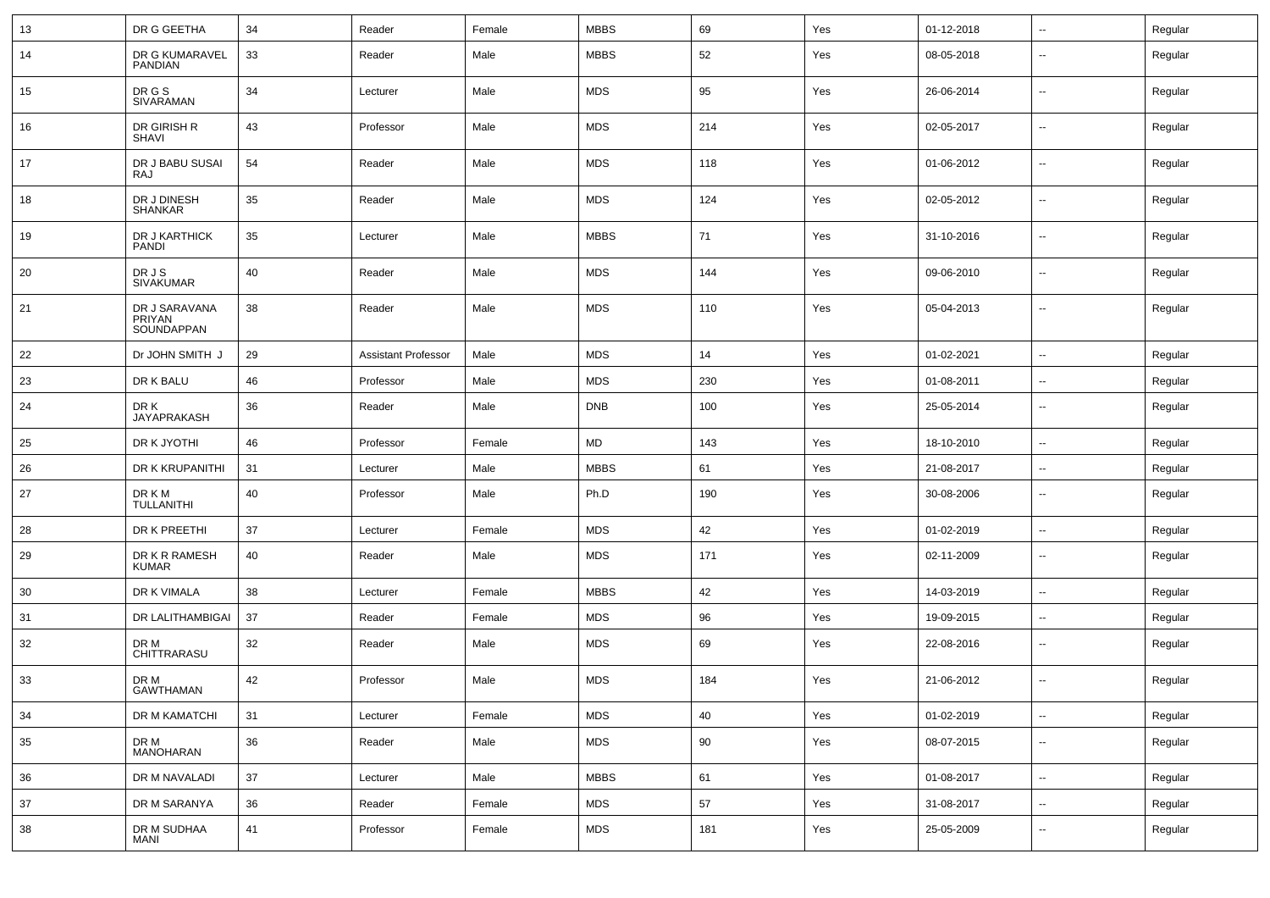| 13 | DR G GEETHA                           | 34 | Reader                     | Female | <b>MBBS</b> | 69  | Yes | 01-12-2018 | $\overline{\phantom{a}}$ | Regular |
|----|---------------------------------------|----|----------------------------|--------|-------------|-----|-----|------------|--------------------------|---------|
| 14 | DR G KUMARAVEL<br><b>PANDIAN</b>      | 33 | Reader                     | Male   | <b>MBBS</b> | 52  | Yes | 08-05-2018 | $\overline{\phantom{a}}$ | Regular |
| 15 | DR G S<br>SIVARAMAN                   | 34 | Lecturer                   | Male   | <b>MDS</b>  | 95  | Yes | 26-06-2014 | $\overline{\phantom{a}}$ | Regular |
| 16 | DR GIRISH R<br><b>SHAVI</b>           | 43 | Professor                  | Male   | <b>MDS</b>  | 214 | Yes | 02-05-2017 | ⊷.                       | Regular |
| 17 | DR J BABU SUSAI<br><b>RAJ</b>         | 54 | Reader                     | Male   | <b>MDS</b>  | 118 | Yes | 01-06-2012 | $\overline{\phantom{a}}$ | Regular |
| 18 | DR J DINESH<br><b>SHANKAR</b>         | 35 | Reader                     | Male   | <b>MDS</b>  | 124 | Yes | 02-05-2012 | ⊷.                       | Regular |
| 19 | DR J KARTHICK<br><b>PANDI</b>         | 35 | Lecturer                   | Male   | <b>MBBS</b> | 71  | Yes | 31-10-2016 | $\overline{\phantom{a}}$ | Regular |
| 20 | DR J S<br><b>SIVAKUMAR</b>            | 40 | Reader                     | Male   | <b>MDS</b>  | 144 | Yes | 09-06-2010 | $\overline{\phantom{a}}$ | Regular |
| 21 | DR J SARAVANA<br>PRIYAN<br>SOUNDAPPAN | 38 | Reader                     | Male   | <b>MDS</b>  | 110 | Yes | 05-04-2013 | ⊷.                       | Regular |
| 22 | Dr JOHN SMITH J                       | 29 | <b>Assistant Professor</b> | Male   | <b>MDS</b>  | 14  | Yes | 01-02-2021 | ⊷.                       | Regular |
| 23 | DR K BALU                             | 46 | Professor                  | Male   | <b>MDS</b>  | 230 | Yes | 01-08-2011 | $\overline{\phantom{a}}$ | Regular |
| 24 | DR K<br><b>JAYAPRAKASH</b>            | 36 | Reader                     | Male   | <b>DNB</b>  | 100 | Yes | 25-05-2014 | $\overline{\phantom{a}}$ | Regular |
| 25 | DR K JYOTHI                           | 46 | Professor                  | Female | ${\sf MD}$  | 143 | Yes | 18-10-2010 | $\overline{\phantom{a}}$ | Regular |
| 26 | DR K KRUPANITHI                       | 31 | Lecturer                   | Male   | <b>MBBS</b> | 61  | Yes | 21-08-2017 | -−                       | Regular |
| 27 | DR K M<br><b>TULLANITHI</b>           | 40 | Professor                  | Male   | Ph.D        | 190 | Yes | 30-08-2006 | ⊷.                       | Regular |
| 28 | DR K PREETHI                          | 37 | Lecturer                   | Female | <b>MDS</b>  | 42  | Yes | 01-02-2019 | $\sim$                   | Regular |
| 29 | DR K R RAMESH<br><b>KUMAR</b>         | 40 | Reader                     | Male   | <b>MDS</b>  | 171 | Yes | 02-11-2009 | ⊷.                       | Regular |
| 30 | DR K VIMALA                           | 38 | Lecturer                   | Female | <b>MBBS</b> | 42  | Yes | 14-03-2019 | ⊷.                       | Regular |
| 31 | DR LALITHAMBIGAI                      | 37 | Reader                     | Female | <b>MDS</b>  | 96  | Yes | 19-09-2015 | н.                       | Regular |
| 32 | DR M<br>CHITTRARASU                   | 32 | Reader                     | Male   | <b>MDS</b>  | 69  | Yes | 22-08-2016 | ⊷.                       | Regular |
| 33 | DR M<br><b>GAWTHAMAN</b>              | 42 | Professor                  | Male   | <b>MDS</b>  | 184 | Yes | 21-06-2012 | $\overline{\phantom{a}}$ | Regular |
| 34 | DR M KAMATCHI                         | 31 | Lecturer                   | Female | <b>MDS</b>  | 40  | Yes | 01-02-2019 | $\sim$                   | Regular |
| 35 | DR M<br>MANOHARAN                     | 36 | Reader                     | Male   | <b>MDS</b>  | 90  | Yes | 08-07-2015 | $\overline{\phantom{a}}$ | Regular |
| 36 | DR M NAVALADI                         | 37 | Lecturer                   | Male   | <b>MBBS</b> | 61  | Yes | 01-08-2017 | $\overline{\phantom{a}}$ | Regular |
| 37 | DR M SARANYA                          | 36 | Reader                     | Female | <b>MDS</b>  | 57  | Yes | 31-08-2017 | ⊷.                       | Regular |
| 38 | DR M SUDHAA<br><b>MANI</b>            | 41 | Professor                  | Female | MDS         | 181 | Yes | 25-05-2009 | $\sim$                   | Regular |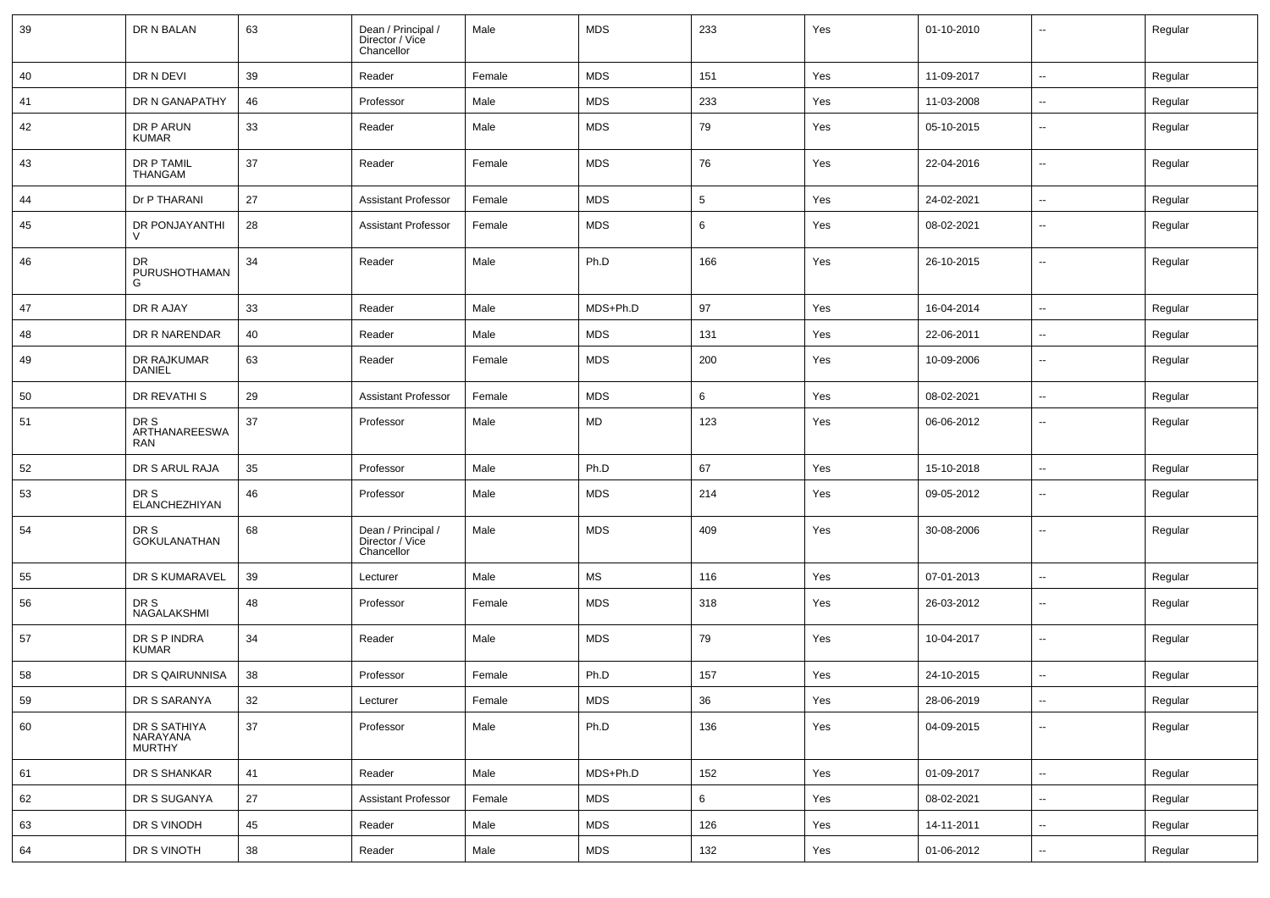| 39 | DR N BALAN                         | 63     | Dean / Principal /<br>Director / Vice<br>Chancellor | Male   | <b>MDS</b> | 233 | Yes | 01-10-2010 | $\overline{\phantom{a}}$ | Regular |
|----|------------------------------------|--------|-----------------------------------------------------|--------|------------|-----|-----|------------|--------------------------|---------|
| 40 | DR N DEVI                          | 39     | Reader                                              | Female | <b>MDS</b> | 151 | Yes | 11-09-2017 | $\sim$                   | Regular |
| 41 | DR N GANAPATHY                     | 46     | Professor                                           | Male   | <b>MDS</b> | 233 | Yes | 11-03-2008 | ⊷.                       | Regular |
| 42 | DR P ARUN<br><b>KUMAR</b>          | 33     | Reader                                              | Male   | <b>MDS</b> | 79  | Yes | 05-10-2015 | $\overline{\phantom{a}}$ | Regular |
| 43 | DR P TAMIL<br><b>THANGAM</b>       | 37     | Reader                                              | Female | <b>MDS</b> | 76  | Yes | 22-04-2016 | ⊷.                       | Regular |
| 44 | Dr P THARANI                       | 27     | <b>Assistant Professor</b>                          | Female | <b>MDS</b> | 5   | Yes | 24-02-2021 | $\sim$                   | Regular |
| 45 | DR PONJAYANTHI<br>$\mathcal{U}$    | 28     | <b>Assistant Professor</b>                          | Female | <b>MDS</b> | 6   | Yes | 08-02-2021 | --                       | Regular |
| 46 | DR.<br>PURUSHOTHAMAN<br>G          | 34     | Reader                                              | Male   | Ph.D       | 166 | Yes | 26-10-2015 | $\overline{\phantom{a}}$ | Regular |
| 47 | DR R AJAY                          | 33     | Reader                                              | Male   | MDS+Ph.D   | 97  | Yes | 16-04-2014 | $\sim$                   | Regular |
| 48 | DR R NARENDAR                      | 40     | Reader                                              | Male   | <b>MDS</b> | 131 | Yes | 22-06-2011 | $\overline{\phantom{a}}$ | Regular |
| 49 | DR RAJKUMAR<br>DANIEL              | 63     | Reader                                              | Female | <b>MDS</b> | 200 | Yes | 10-09-2006 | --                       | Regular |
| 50 | <b>DR REVATHI S</b>                | 29     | <b>Assistant Professor</b>                          | Female | <b>MDS</b> | 6   | Yes | 08-02-2021 | ⊷.                       | Regular |
| 51 | DR S<br>ARTHANAREESWA<br>RAN       | 37     | Professor                                           | Male   | MD         | 123 | Yes | 06-06-2012 | ⊷.                       | Regular |
| 52 | DR S ARUL RAJA                     | 35     | Professor                                           | Male   | Ph.D       | 67  | Yes | 15-10-2018 | ⊷.                       | Regular |
| 53 | DR S<br>ELANCHEZHIYAN              | 46     | Professor                                           | Male   | <b>MDS</b> | 214 | Yes | 09-05-2012 | ⊷.                       | Regular |
| 54 | DR S<br><b>GOKULANATHAN</b>        | 68     | Dean / Principal /<br>Director / Vice<br>Chancellor | Male   | <b>MDS</b> | 409 | Yes | 30-08-2006 | ⊶.                       | Regular |
| 55 | DR S KUMARAVEL                     | 39     | Lecturer                                            | Male   | MS         | 116 | Yes | 07-01-2013 | $\overline{\phantom{a}}$ | Regular |
| 56 | DR S<br>NAGALAKSHMI                | 48     | Professor                                           | Female | <b>MDS</b> | 318 | Yes | 26-03-2012 | ⊷.                       | Regular |
| 57 | DR S P INDRA<br><b>KUMAR</b>       | 34     | Reader                                              | Male   | <b>MDS</b> | 79  | Yes | 10-04-2017 | $\sim$                   | Regular |
| 58 | DR S QAIRUNNISA                    | 38     | Professor                                           | Female | Ph.D       | 157 | Yes | 24-10-2015 | $\sim$                   | Regular |
| 59 | DR S SARANYA                       | 32     | Lecturer                                            | Female | <b>MDS</b> | 36  | Yes | 28-06-2019 | $\sim$                   | Regular |
| 60 | DR S SATHIYA<br>NARAYANA<br>MURTHY | 37     | Professor                                           | Male   | Ph.D       | 136 | Yes | 04-09-2015 | ⊷.                       | Regular |
| 61 | DR S SHANKAR                       | 41     | Reader                                              | Male   | MDS+Ph.D   | 152 | Yes | 01-09-2017 | $\sim$                   | Regular |
| 62 | DR S SUGANYA                       | 27     | <b>Assistant Professor</b>                          | Female | <b>MDS</b> | 6   | Yes | 08-02-2021 | $\overline{\phantom{a}}$ | Regular |
| 63 | DR S VINODH                        | 45     | Reader                                              | Male   | <b>MDS</b> | 126 | Yes | 14-11-2011 | $\overline{\phantom{a}}$ | Regular |
| 64 | DR S VINOTH                        | $38\,$ | Reader                                              | Male   | <b>MDS</b> | 132 | Yes | 01-06-2012 | ⊶.                       | Regular |